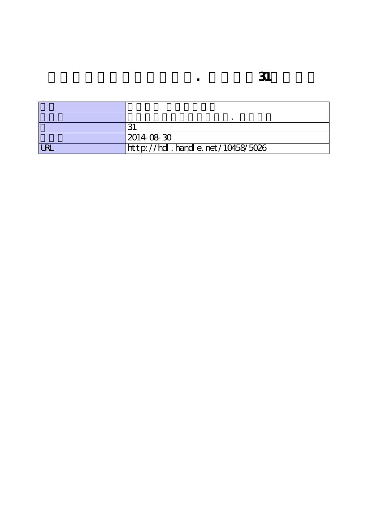|            | 2014 08 30                       |
|------------|----------------------------------|
| <b>URL</b> | http://hdl.handle.net/10458/5026 |